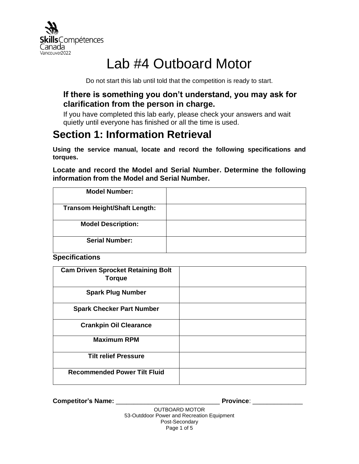

# Lab #4 Outboard Motor

Do not start this lab until told that the competition is ready to start.

### **If there is something you don't understand, you may ask for clarification from the person in charge.**

If you have completed this lab early, please check your answers and wait quietly until everyone has finished or all the time is used.

# **Section 1: Information Retrieval**

**Using the service manual, locate and record the following specifications and torques.**

**Locate and record the Model and Serial Number. Determine the following information from the Model and Serial Number.**

| <b>Model Number:</b>                |  |
|-------------------------------------|--|
| <b>Transom Height/Shaft Length:</b> |  |
| <b>Model Description:</b>           |  |
| <b>Serial Number:</b>               |  |

**Specifications**

| <b>Cam Driven Sprocket Retaining Bolt</b><br><b>Torque</b> |  |
|------------------------------------------------------------|--|
| <b>Spark Plug Number</b>                                   |  |
| <b>Spark Checker Part Number</b>                           |  |
| <b>Crankpin Oil Clearance</b>                              |  |
| <b>Maximum RPM</b>                                         |  |
| <b>Tilt relief Pressure</b>                                |  |
| <b>Recommended Power Tilt Fluid</b>                        |  |

**Competitor's Name:** \_\_\_\_\_\_\_\_\_\_\_\_\_\_\_\_\_\_\_\_\_\_\_\_\_\_\_\_\_ **Province**: \_\_\_\_\_\_\_\_\_\_\_\_\_\_

OUTBOARD MOTOR 53-Outddoor Power and Recreation Equipment Post-Secondary Page 1 of 5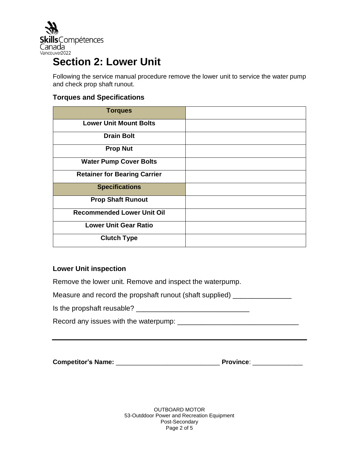

# **Section 2: Lower Unit**

Following the service manual procedure remove the lower unit to service the water pump and check prop shaft runout.

### **Torques and Specifications**

| <b>Torques</b>                      |  |
|-------------------------------------|--|
| <b>Lower Unit Mount Bolts</b>       |  |
| <b>Drain Bolt</b>                   |  |
| <b>Prop Nut</b>                     |  |
| <b>Water Pump Cover Bolts</b>       |  |
| <b>Retainer for Bearing Carrier</b> |  |
| <b>Specifications</b>               |  |
| <b>Prop Shaft Runout</b>            |  |
| <b>Recommended Lower Unit Oil</b>   |  |
| <b>Lower Unit Gear Ratio</b>        |  |
| <b>Clutch Type</b>                  |  |

### **Lower Unit inspection**

Remove the lower unit. Remove and inspect the waterpump.

Measure and record the propshaft runout (shaft supplied) \_\_\_\_\_\_\_\_\_\_\_\_\_\_\_\_\_

Is the propshaft reusable? \_\_\_\_\_\_\_\_\_\_\_\_\_\_\_\_\_\_\_\_\_\_\_\_\_\_\_\_\_

Record any issues with the waterpump: \_\_\_\_\_\_\_\_\_\_\_\_\_\_\_\_\_\_\_\_\_\_\_\_\_\_\_\_\_\_\_

**Competitor's Name:** \_\_\_\_\_\_\_\_\_\_\_\_\_\_\_\_\_\_\_\_\_\_\_\_\_\_\_\_\_ **Province**: \_\_\_\_\_\_\_\_\_\_\_\_\_\_

OUTBOARD MOTOR 53-Outddoor Power and Recreation Equipment Post-Secondary Page 2 of 5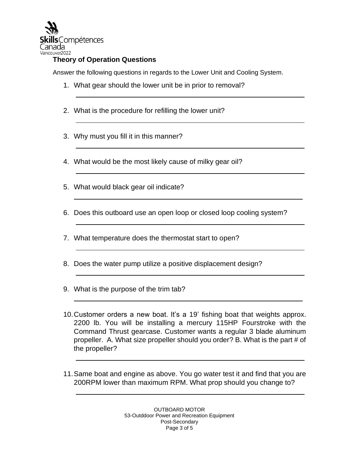

### **Theory of Operation Questions**

Answer the following questions in regards to the Lower Unit and Cooling System.

- 1. What gear should the lower unit be in prior to removal?
- 2. What is the procedure for refilling the lower unit?
- 3. Why must you fill it in this manner?
- 4. What would be the most likely cause of milky gear oil?
- 5. What would black gear oil indicate?
- 6. Does this outboard use an open loop or closed loop cooling system?
- 7. What temperature does the thermostat start to open?
- 8. Does the water pump utilize a positive displacement design?
- 9. What is the purpose of the trim tab?
- 10.Customer orders a new boat. It's a 19' fishing boat that weights approx. 2200 lb. You will be installing a mercury 115HP Fourstroke with the Command Thrust gearcase. Customer wants a regular 3 blade aluminum propeller. A. What size propeller should you order? B. What is the part # of the propeller?
- 11.Same boat and engine as above. You go water test it and find that you are 200RPM lower than maximum RPM. What prop should you change to?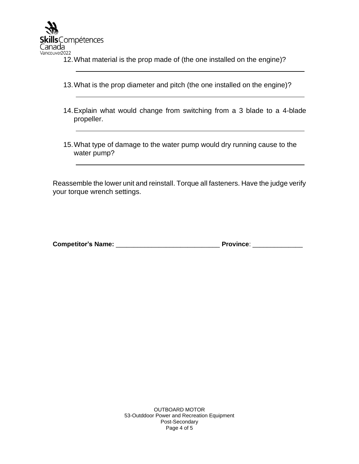

- 12.What material is the prop made of (the one installed on the engine)?
- 13.What is the prop diameter and pitch (the one installed on the engine)?
- 14.Explain what would change from switching from a 3 blade to a 4-blade propeller.
- 15.What type of damage to the water pump would dry running cause to the water pump?

Reassemble the lower unit and reinstall. Torque all fasteners. Have the judge verify your torque wrench settings.

| <b>Competitor's Name:</b> | <b>Province:</b> |
|---------------------------|------------------|
|                           |                  |